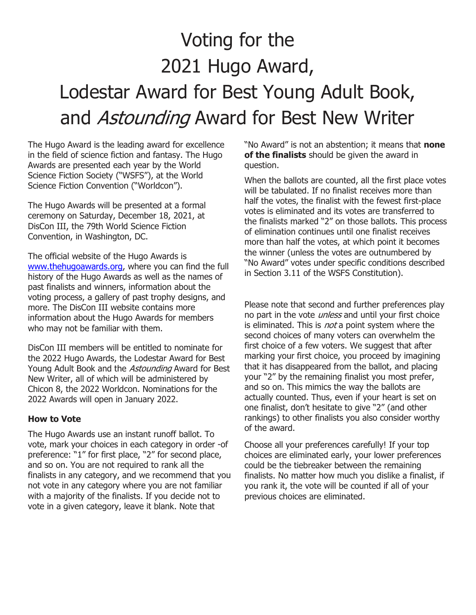# Voting for the 2021 Hugo Award, Lodestar Award for Best Young Adult Book, and Astounding Award for Best New Writer

The Hugo Award is the leading award for excellence in the field of science fiction and fantasy. The Hugo Awards are presented each year by the World Science Fiction Society ("WSFS"), at the World Science Fiction Convention ("Worldcon").

The Hugo Awards will be presented at a formal ceremony on Saturday, December 18, 2021, at DisCon III, the 79th World Science Fiction Convention, in Washington, DC.

The official website of the Hugo Awards is www.thehugoawards.org, where you can find the full history of the Hugo Awards as well as the names of past finalists and winners, information about the voting process, a gallery of past trophy designs, and more. The DisCon III website contains more information about the Hugo Awards for members who may not be familiar with them.

DisCon III members will be entitled to nominate for the 2022 Hugo Awards, the Lodestar Award for Best Young Adult Book and the *Astounding* Award for Best New Writer, all of which will be administered by Chicon 8, the 2022 Worldcon. Nominations for the 2022 Awards will open in January 2022.

#### How to Vote

The Hugo Awards use an instant runoff ballot. To vote, mark your choices in each category in order -of preference: "1" for first place, "2" for second place, and so on. You are not required to rank all the finalists in any category, and we recommend that you not vote in any category where you are not familiar with a majority of the finalists. If you decide not to vote in a given category, leave it blank. Note that

"No Award" is not an abstention; it means that none of the finalists should be given the award in question.

When the ballots are counted, all the first place votes will be tabulated. If no finalist receives more than half the votes, the finalist with the fewest first-place votes is eliminated and its votes are transferred to the finalists marked "2" on those ballots. This process of elimination continues until one finalist receives more than half the votes, at which point it becomes the winner (unless the votes are outnumbered by "No Award" votes under specific conditions described in Section 3.11 of the WSFS Constitution).

Please note that second and further preferences play no part in the vote *unless* and until your first choice is eliminated. This is *not* a point system where the second choices of many voters can overwhelm the first choice of a few voters. We suggest that after marking your first choice, you proceed by imagining that it has disappeared from the ballot, and placing your "2" by the remaining finalist you most prefer, and so on. This mimics the way the ballots are actually counted. Thus, even if your heart is set on one finalist, don't hesitate to give "2" (and other rankings) to other finalists you also consider worthy of the award.

Choose all your preferences carefully! If your top choices are eliminated early, your lower preferences could be the tiebreaker between the remaining finalists. No matter how much you dislike a finalist, if you rank it, the vote will be counted if all of your previous choices are eliminated.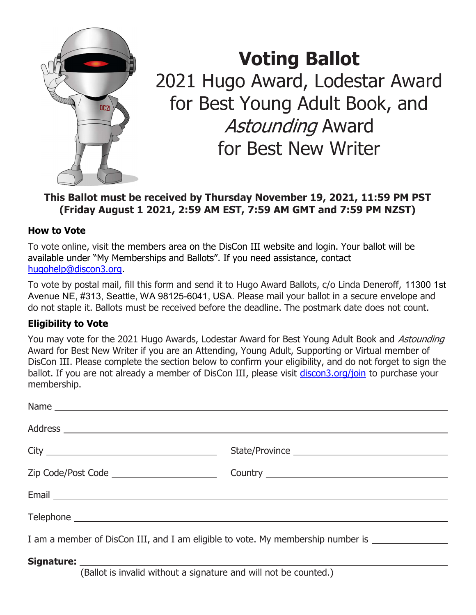

# Voting Ballot 2021 Hugo Award, Lodestar Award for Best Young Adult Book, and Astounding Award for Best New Writer

## This Ballot must be received by Thursday November 19, 2021, 11:59 PM PST (Friday August 1 2021, 2:59 AM EST, 7:59 AM GMT and 7:59 PM NZST)

### How to Vote

To vote online, visit the members area on the DisCon III website and login. Your ballot will be available under "My Memberships and Ballots". If you need assistance, contact hugohelp@discon3.org.

To vote by postal mail, fill this form and send it to Hugo Award Ballots, c/o Linda Deneroff, 11300 1st Avenue NE, #313, Seattle, WA 98125-6041, USA. Please mail your ballot in a secure envelope and do not staple it. Ballots must be received before the deadline. The postmark date does not count.

## Eligibility to Vote

You may vote for the 2021 Hugo Awards, Lodestar Award for Best Young Adult Book and Astounding Award for Best New Writer if you are an Attending, Young Adult, Supporting or Virtual member of DisCon III. Please complete the section below to confirm your eligibility, and do not forget to sign the ballot. If you are not already a member of DisCon III, please visit discon3.org/join to purchase your membership.

| Name                                                                                                |                |
|-----------------------------------------------------------------------------------------------------|----------------|
|                                                                                                     |                |
|                                                                                                     | State/Province |
| Zip Code/Post Code _________________________                                                        |                |
|                                                                                                     |                |
|                                                                                                     |                |
| I am a member of DisCon III, and I am eligible to vote. My membership number is ___________________ |                |
|                                                                                                     |                |

(Ballot is invalid without a signature and will not be counted.)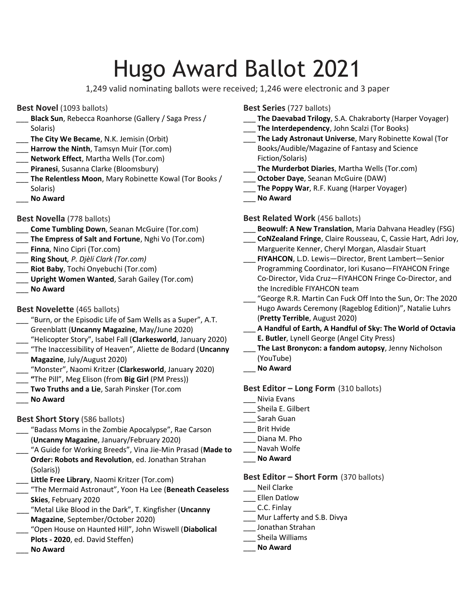# Hugo Award Ballot 2021

1,249 valid nominating ballots were received; 1,246 were electronic and 3 paper

#### Best Novel (1093 ballots)

- Black Sun, Rebecca Roanhorse (Gallery / Saga Press / Solaris)
- The City We Became, N.K. Jemisin (Orbit)
- Harrow the Ninth, Tamsyn Muir (Tor.com)
- Network Effect, Martha Wells (Tor.com)
- Piranesi, Susanna Clarke (Bloomsbury)
- \_ The Relentless Moon, Mary Robinette Kowal (Tor Books / Solaris)
- No Award

#### Best Novella (778 ballots)

- Come Tumbling Down, Seanan McGuire (Tor.com)
- The Empress of Salt and Fortune, Nghi Vo (Tor.com)
- **\_\_\_ Finna**, Nino Cipri (Tor.com)
- Ring Shout, P. Djèlí Clark (Tor.com)
- \_ Riot Baby, Tochi Onyebuchi (Tor.com)
- Upright Women Wanted, Sarah Gailey (Tor.com)
- \_\_\_ No Award

#### Best Novelette (465 ballots)

- "Burn, or the Episodic Life of Sam Wells as a Super", A.T. Greenblatt (Uncanny Magazine, May/June 2020)
- "Helicopter Story", Isabel Fall (Clarkesworld, January 2020)
- "The Inaccessibility of Heaven", Aliette de Bodard (Uncanny Magazine, July/August 2020)
- "Monster", Naomi Kritzer (Clarkesworld, January 2020)
- "The Pill", Meg Elison (from Big Girl (PM Press))
- Two Truths and a Lie, Sarah Pinsker (Tor.com
- No Award

#### Best Short Story (586 ballots)

- \_\_\_ "Badass Moms in the Zombie Apocalypse", Rae Carson (Uncanny Magazine, January/February 2020)
- "A Guide for Working Breeds", Vina Jie-Min Prasad (Made to Order: Robots and Revolution, ed. Jonathan Strahan (Solaris))
- Little Free Library, Naomi Kritzer (Tor.com)
- "The Mermaid Astronaut", Yoon Ha Lee (Beneath Ceaseless Skies, February 2020
- "Metal Like Blood in the Dark", T. Kingfisher (Uncanny Magazine, September/October 2020)
- "Open House on Haunted Hill", John Wiswell (Diabolical Plots - 2020, ed. David Steffen)
- \_\_\_ No Award

#### Best Series (727 ballots)

- The Daevabad Trilogy, S.A. Chakraborty (Harper Voyager)
- The Interdependency, John Scalzi (Tor Books)
- The Lady Astronaut Universe, Mary Robinette Kowal (Tor Books/Audible/Magazine of Fantasy and Science Fiction/Solaris)
- The Murderbot Diaries, Martha Wells (Tor.com)
- October Daye, Seanan McGuire (DAW)
- The Poppy War, R.F. Kuang (Harper Voyager)
- \_\_\_ No Award

#### Best Related Work (456 ballots)

- Beowulf: A New Translation, Maria Dahvana Headley (FSG)
- CoNZealand Fringe, Claire Rousseau, C, Cassie Hart, Adri Joy, Marguerite Kenner, Cheryl Morgan, Alasdair Stuart
- FIYAHCON, L.D. Lewis-Director, Brent Lambert-Senior Programming Coordinator, Iori Kusano—FIYAHCON Fringe Co-Director, Vida Cruz—FIYAHCON Fringe Co-Director, and the Incredible FIYAHCON team
- \_\_\_ "George R.R. Martin Can Fuck Off Into the Sun, Or: The 2020 Hugo Awards Ceremony (Rageblog Edition)", Natalie Luhrs (Pretty Terrible, August 2020)
- \_\_\_ A Handful of Earth, A Handful of Sky: The World of Octavia E. Butler, Lynell George (Angel City Press)
- The Last Bronycon: a fandom autopsy, Jenny Nicholson (YouTube)
- No Award

#### Best Editor - Long Form (310 ballots)

- \_\_\_ Nivia Evans
- \_\_\_ Sheila E. Gilbert
- \_\_\_ Sarah Guan
- \_\_\_ Brit Hvide
- Diana M. Pho
- \_\_\_ Navah Wolfe
- No Award

#### Best Editor – Short Form (370 ballots)

- \_\_\_ Neil Clarke
- \_\_\_ Ellen Datlow
- \_\_\_ C.C. Finlay
- \_\_\_ Mur Lafferty and S.B. Divya
- \_\_\_ Jonathan Strahan
- \_\_\_ Sheila Williams
- \_\_\_ No Award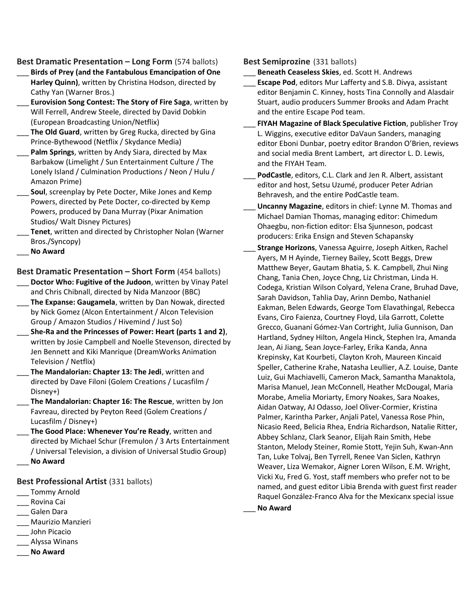Best Dramatic Presentation – Long Form (574 ballots)

- Birds of Prey (and the Fantabulous Emancipation of One Harley Quinn), written by Christina Hodson, directed by Cathy Yan (Warner Bros.)
- Eurovision Song Contest: The Story of Fire Saga, written by Will Ferrell, Andrew Steele, directed by David Dobkin (European Broadcasting Union/Netflix)
- The Old Guard, written by Greg Rucka, directed by Gina Prince-Bythewood (Netflix / Skydance Media)
- Palm Springs, written by Andy Siara, directed by Max Barbakow (Limelight / Sun Entertainment Culture / The Lonely Island / Culmination Productions / Neon / Hulu / Amazon Prime)
- Soul, screenplay by Pete Docter, Mike Jones and Kemp Powers, directed by Pete Docter, co-directed by Kemp Powers, produced by Dana Murray (Pixar Animation Studios/ Walt Disney Pictures)
- Tenet, written and directed by Christopher Nolan (Warner Bros./Syncopy)
- No Award

Best Dramatic Presentation – Short Form (454 ballots)

- Doctor Who: Fugitive of the Judoon, written by Vinay Patel and Chris Chibnall, directed by Nida Manzoor (BBC)
- The Expanse: Gaugamela, written by Dan Nowak, directed by Nick Gomez (Alcon Entertainment / Alcon Television Group / Amazon Studios / Hivemind / Just So)
- She-Ra and the Princesses of Power: Heart (parts 1 and 2), written by Josie Campbell and Noelle Stevenson, directed by Jen Bennett and Kiki Manrique (DreamWorks Animation Television / Netflix)
- The Mandalorian: Chapter 13: The Jedi, written and directed by Dave Filoni (Golem Creations / Lucasfilm / Disney+)
- The Mandalorian: Chapter 16: The Rescue, written by Jon Favreau, directed by Peyton Reed (Golem Creations / Lucasfilm / Disney+)
- The Good Place: Whenever You're Ready, written and directed by Michael Schur (Fremulon / 3 Arts Entertainment / Universal Television, a division of Universal Studio Group) No Award

Best Professional Artist (331 ballots)

- Tommy Arnold
- \_\_\_ Rovina Cai
- \_\_\_ Galen Dara
- \_\_\_ Maurizio Manzieri
- \_\_\_ John Picacio
- \_\_\_ Alyssa Winans
- \_\_\_ No Award

#### Best Semiprozine (331 ballots)

- Beneath Ceaseless Skies, ed. Scott H. Andrews
- Escape Pod, editors Mur Lafferty and S.B. Divya, assistant editor Benjamin C. Kinney, hosts Tina Connolly and Alasdair Stuart, audio producers Summer Brooks and Adam Pracht and the entire Escape Pod team.
- FIYAH Magazine of Black Speculative Fiction, publisher Troy L. Wiggins, executive editor DaVaun Sanders, managing editor Eboni Dunbar, poetry editor Brandon O'Brien, reviews and social media Brent Lambert, art director L. D. Lewis, and the FIYAH Team.
- PodCastle, editors, C.L. Clark and Jen R. Albert, assistant editor and host, Setsu Uzumé, producer Peter Adrian Behravesh, and the entire PodCastle team.
- Uncanny Magazine, editors in chief: Lynne M. Thomas and Michael Damian Thomas, managing editor: Chimedum Ohaegbu, non-fiction editor: Elsa Sjunneson, podcast producers: Erika Ensign and Steven Schapansky
	- Strange Horizons, Vanessa Aguirre, Joseph Aitken, Rachel Ayers, M H Ayinde, Tierney Bailey, Scott Beggs, Drew Matthew Beyer, Gautam Bhatia, S. K. Campbell, Zhui Ning Chang, Tania Chen, Joyce Chng, Liz Christman, Linda H. Codega, Kristian Wilson Colyard, Yelena Crane, Bruhad Dave, Sarah Davidson, Tahlia Day, Arinn Dembo, Nathaniel Eakman, Belen Edwards, George Tom Elavathingal, Rebecca Evans, Ciro Faienza, Courtney Floyd, Lila Garrott, Colette Grecco, Guananí Gómez-Van Cortright, Julia Gunnison, Dan Hartland, Sydney Hilton, Angela Hinck, Stephen Ira, Amanda Jean, Ai Jiang, Sean Joyce-Farley, Erika Kanda, Anna Krepinsky, Kat Kourbeti, Clayton Kroh, Maureen Kincaid Speller, Catherine Krahe, Natasha Leullier, A.Z. Louise, Dante Luiz, Gui Machiavelli, Cameron Mack, Samantha Manaktola, Marisa Manuel, Jean McConnell, Heather McDougal, Maria Morabe, Amelia Moriarty, Emory Noakes, Sara Noakes, Aidan Oatway, AJ Odasso, Joel Oliver-Cormier, Kristina Palmer, Karintha Parker, Anjali Patel, Vanessa Rose Phin, Nicasio Reed, Belicia Rhea, Endria Richardson, Natalie Ritter, Abbey Schlanz, Clark Seanor, Elijah Rain Smith, Hebe Stanton, Melody Steiner, Romie Stott, Yejin Suh, Kwan-Ann Tan, Luke Tolvaj, Ben Tyrrell, Renee Van Siclen, Kathryn Weaver, Liza Wemakor, Aigner Loren Wilson, E.M. Wright, Vicki Xu, Fred G. Yost, staff members who prefer not to be named, and guest editor Libia Brenda with guest first reader Raquel González-Franco Alva for the Mexicanx special issue

No Award